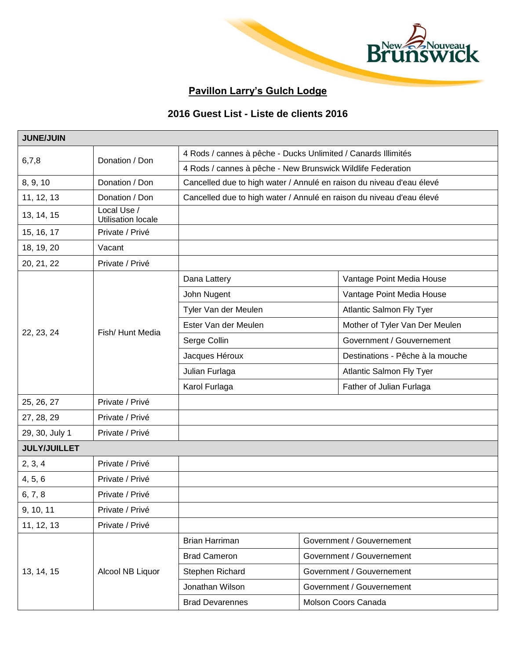

## **Pavillon Larry's Gulch Lodge**

## **2016 Guest List - Liste de clients 2016**

| <b>JUNE/JUIN</b>    |                                   |                                                                      |  |                                  |  |
|---------------------|-----------------------------------|----------------------------------------------------------------------|--|----------------------------------|--|
| 6,7,8               | Donation / Don                    | 4 Rods / cannes à pêche - Ducks Unlimited / Canards Illimités        |  |                                  |  |
|                     |                                   | 4 Rods / cannes à pêche - New Brunswick Wildlife Federation          |  |                                  |  |
| 8, 9, 10            | Donation / Don                    | Cancelled due to high water / Annulé en raison du niveau d'eau élevé |  |                                  |  |
| 11, 12, 13          | Donation / Don                    | Cancelled due to high water / Annulé en raison du niveau d'eau élevé |  |                                  |  |
| 13, 14, 15          | Local Use /<br>Utilisation locale |                                                                      |  |                                  |  |
| 15, 16, 17          | Private / Privé                   |                                                                      |  |                                  |  |
| 18, 19, 20          | Vacant                            |                                                                      |  |                                  |  |
| 20, 21, 22          | Private / Privé                   |                                                                      |  |                                  |  |
|                     |                                   | Dana Lattery                                                         |  | Vantage Point Media House        |  |
|                     |                                   | John Nugent                                                          |  | Vantage Point Media House        |  |
|                     |                                   | Tyler Van der Meulen                                                 |  | <b>Atlantic Salmon Fly Tyer</b>  |  |
|                     | Fish/Hunt Media                   | Ester Van der Meulen                                                 |  | Mother of Tyler Van Der Meulen   |  |
| 22, 23, 24          |                                   | Serge Collin                                                         |  | Government / Gouvernement        |  |
|                     |                                   | Jacques Héroux                                                       |  | Destinations - Pêche à la mouche |  |
|                     |                                   | Julian Furlaga                                                       |  | Atlantic Salmon Fly Tyer         |  |
|                     |                                   | Karol Furlaga                                                        |  | Father of Julian Furlaga         |  |
| 25, 26, 27          | Private / Privé                   |                                                                      |  |                                  |  |
| 27, 28, 29          | Private / Privé                   |                                                                      |  |                                  |  |
| 29, 30, July 1      | Private / Privé                   |                                                                      |  |                                  |  |
| <b>JULY/JUILLET</b> |                                   |                                                                      |  |                                  |  |
| 2, 3, 4             | Private / Privé                   |                                                                      |  |                                  |  |
| 4, 5, 6             | Private / Privé                   |                                                                      |  |                                  |  |
| 6, 7, 8             | Private / Privé                   |                                                                      |  |                                  |  |
| 9, 10, 11           | Private / Privé                   |                                                                      |  |                                  |  |
| 11, 12, 13          | Private / Privé                   |                                                                      |  |                                  |  |
| 13, 14, 15          |                                   | Brian Harriman                                                       |  | Government / Gouvernement        |  |
|                     |                                   | <b>Brad Cameron</b>                                                  |  | Government / Gouvernement        |  |
|                     | Alcool NB Liquor                  | Stephen Richard                                                      |  | Government / Gouvernement        |  |
|                     |                                   | Jonathan Wilson                                                      |  | Government / Gouvernement        |  |
|                     |                                   | <b>Brad Devarennes</b>                                               |  | Molson Coors Canada              |  |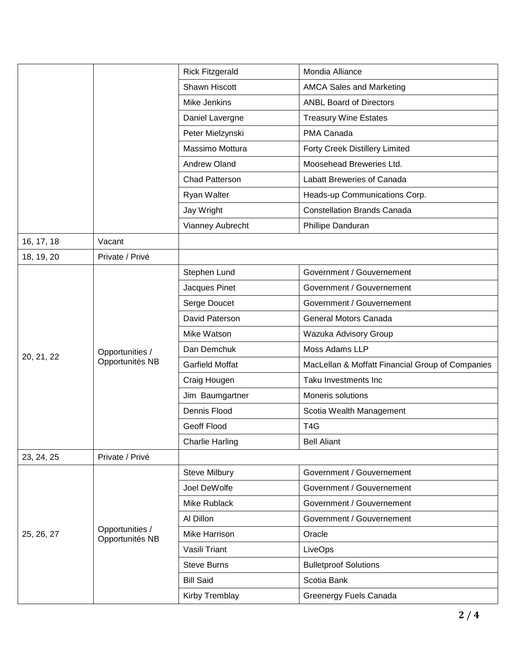|            |                                    | <b>Rick Fitzgerald</b> | Mondia Alliance                                  |  |
|------------|------------------------------------|------------------------|--------------------------------------------------|--|
|            |                                    | Shawn Hiscott          | <b>AMCA Sales and Marketing</b>                  |  |
|            |                                    | Mike Jenkins           | <b>ANBL Board of Directors</b>                   |  |
|            |                                    | Daniel Lavergne        | <b>Treasury Wine Estates</b>                     |  |
|            |                                    | Peter Mielzynski       | PMA Canada                                       |  |
|            |                                    | Massimo Mottura        | <b>Forty Creek Distillery Limited</b>            |  |
|            |                                    | Andrew Oland           | Moosehead Breweries Ltd.                         |  |
|            |                                    | Chad Patterson         | Labatt Breweries of Canada                       |  |
|            |                                    | Ryan Walter            | Heads-up Communications Corp.                    |  |
|            |                                    | Jay Wright             | <b>Constellation Brands Canada</b>               |  |
|            |                                    | Vianney Aubrecht       | Phillipe Danduran                                |  |
| 16, 17, 18 | Vacant                             |                        |                                                  |  |
| 18, 19, 20 | Private / Privé                    |                        |                                                  |  |
|            |                                    | Stephen Lund           | Government / Gouvernement                        |  |
|            |                                    | Jacques Pinet          | Government / Gouvernement                        |  |
|            |                                    | Serge Doucet           | Government / Gouvernement                        |  |
|            |                                    | David Paterson         | General Motors Canada                            |  |
|            |                                    | Mike Watson            | Wazuka Advisory Group                            |  |
|            | Opportunities /                    | Dan Demchuk            | Moss Adams LLP                                   |  |
| 20, 21, 22 | Opportunités NB                    | <b>Garfield Moffat</b> | MacLellan & Moffatt Financial Group of Companies |  |
|            |                                    | Craig Hougen           | Taku Investments Inc                             |  |
|            |                                    | Jim Baumgartner        | Moneris solutions                                |  |
|            |                                    | Dennis Flood           | Scotia Wealth Management                         |  |
|            |                                    | Geoff Flood            | T <sub>4</sub> G                                 |  |
|            |                                    | <b>Charlie Harling</b> | <b>Bell Aliant</b>                               |  |
| 23, 24, 25 | Private / Privé                    |                        |                                                  |  |
| 25, 26, 27 |                                    | <b>Steve Milbury</b>   | Government / Gouvernement                        |  |
|            |                                    | Joel DeWolfe           | Government / Gouvernement                        |  |
|            | Opportunities /<br>Opportunités NB | Mike Rublack           | Government / Gouvernement                        |  |
|            |                                    | Al Dillon              | Government / Gouvernement                        |  |
|            |                                    | Mike Harrison          | Oracle                                           |  |
|            |                                    | Vasili Triant          | LiveOps                                          |  |
|            |                                    | <b>Steve Burns</b>     | <b>Bulletproof Solutions</b>                     |  |
|            |                                    | <b>Bill Said</b>       | Scotia Bank                                      |  |
|            |                                    | Kirby Tremblay         | Greenergy Fuels Canada                           |  |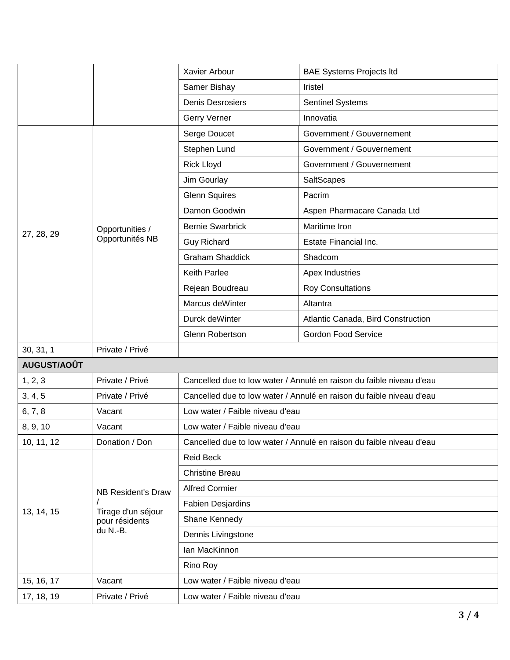|             |                                                                               | Xavier Arbour                                                        | <b>BAE Systems Projects Itd</b>    |  |
|-------------|-------------------------------------------------------------------------------|----------------------------------------------------------------------|------------------------------------|--|
|             |                                                                               | Samer Bishay                                                         | Iristel                            |  |
|             |                                                                               | <b>Denis Desrosiers</b>                                              | Sentinel Systems                   |  |
|             |                                                                               | Gerry Verner                                                         | Innovatia                          |  |
|             | Opportunities /<br>Opportunités NB                                            | Serge Doucet                                                         | Government / Gouvernement          |  |
|             |                                                                               | Stephen Lund                                                         | Government / Gouvernement          |  |
|             |                                                                               | <b>Rick Lloyd</b>                                                    | Government / Gouvernement          |  |
|             |                                                                               | Jim Gourlay                                                          | SaltScapes                         |  |
|             |                                                                               | <b>Glenn Squires</b>                                                 | Pacrim                             |  |
|             |                                                                               | Damon Goodwin                                                        | Aspen Pharmacare Canada Ltd        |  |
|             |                                                                               | <b>Bernie Swarbrick</b>                                              | Maritime Iron                      |  |
| 27, 28, 29  |                                                                               | <b>Guy Richard</b>                                                   | <b>Estate Financial Inc.</b>       |  |
|             |                                                                               | <b>Graham Shaddick</b>                                               | Shadcom                            |  |
|             |                                                                               | <b>Keith Parlee</b>                                                  | Apex Industries                    |  |
|             |                                                                               | Rejean Boudreau                                                      | <b>Roy Consultations</b>           |  |
|             |                                                                               | Marcus deWinter                                                      | Altantra                           |  |
|             |                                                                               | Durck deWinter                                                       | Atlantic Canada, Bird Construction |  |
|             |                                                                               | Glenn Robertson                                                      | <b>Gordon Food Service</b>         |  |
| 30, 31, 1   | Private / Privé                                                               |                                                                      |                                    |  |
| AUGUST/AOÛT |                                                                               |                                                                      |                                    |  |
| 1, 2, 3     | Private / Privé                                                               | Cancelled due to low water / Annulé en raison du faible niveau d'eau |                                    |  |
| 3, 4, 5     | Private / Privé                                                               | Cancelled due to low water / Annulé en raison du faible niveau d'eau |                                    |  |
| 6, 7, 8     | Vacant                                                                        | Low water / Faible niveau d'eau                                      |                                    |  |
| 8, 9, 10    | Vacant                                                                        | Low water / Faible niveau d'eau                                      |                                    |  |
| 10, 11, 12  | Donation / Don                                                                | Cancelled due to low water / Annulé en raison du faible niveau d'eau |                                    |  |
| 13, 14, 15  | <b>NB Resident's Draw</b><br>Tirage d'un séjour<br>pour résidents<br>du N.-B. | <b>Reid Beck</b>                                                     |                                    |  |
|             |                                                                               | <b>Christine Breau</b>                                               |                                    |  |
|             |                                                                               | <b>Alfred Cormier</b>                                                |                                    |  |
|             |                                                                               | <b>Fabien Desjardins</b>                                             |                                    |  |
|             |                                                                               | Shane Kennedy                                                        |                                    |  |
|             |                                                                               | Dennis Livingstone                                                   |                                    |  |
|             |                                                                               | Ian MacKinnon                                                        |                                    |  |
|             |                                                                               | Rino Roy                                                             |                                    |  |
| 15, 16, 17  | Vacant                                                                        | Low water / Faible niveau d'eau                                      |                                    |  |
| 17, 18, 19  | Private / Privé                                                               | Low water / Faible niveau d'eau                                      |                                    |  |
|             |                                                                               |                                                                      |                                    |  |